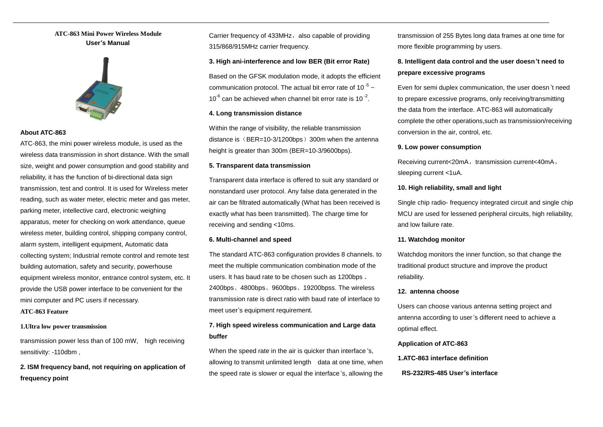## **ATC-863 Mini Power Wireless Module User's Manual**



## **About ATC-863**

ATC-863, the mini power wireless module, is used as the wireless data transmission in short distance. With the small size, weight and power consumption and good stability and reliability, it has the function of bi-directional data sign transmission, test and control. It is used for Wireless meter reading, such as water meter, electric meter and gas meter, parking meter, intellective card, electronic weighing apparatus, meter for checking on work attendance, queue wireless meter, building control, shipping company control, alarm system, intelligent equipment, Automatic data collecting system; Industrial remote control and remote test building automation, safety and security, powerhouse equipment wireless monitor, entrance control system, etc. It provide the USB power interface to be convenient for the mini computer and PC users if necessary.

## **ATC-863 Feature**

### **1.Ultra low power transmission**

transmission power less than of 100 mW, high receiving sensitivity: -110dbm ,

**2. ISM frequency band, not requiring on application of frequency point** 

Carrier frequency of 433MHz, also capable of providing 315/868/915MHz carrier frequency.

## **3. High ani-interference and low BER (Bit error Rate)**

Based on the GFSK modulation mode, it adopts the efficient communication protocol. The actual bit error rate of 10<sup>-5</sup>  $\sim$  $10^{-6}$  can be achieved when channel bit error rate is  $10^{-2}$ .

## **4. Long transmission distance**

Within the range of visibility, the reliable transmission distance is  $(BER=10-3/1200bps)$  300m when the antenna height is greater than 300m (BER=10-3/9600bps).

#### **5. Transparent data transmission**

Transparent data interface is offered to suit any standard or nonstandard user protocol. Any false data generated in the air can be filtrated automatically (What has been received is exactly what has been transmitted). The charge time for receiving and sending <10ms.

#### **6. Multi-channel and speed**

The standard ATC-863 configuration provides 8 channels. to meet the multiple communication combination mode of the users. It has baud rate to be chosen such as 1200bps 、 2400bps、4800bps、9600bps、19200bpss. The wireless transmission rate is direct ratio with baud rate of interface to meet user's equipment requirement.

## **7. High speed wireless communication and Large data buffer**

When the speed rate in the air is quicker than interface 's, allowing to transmit unlimited length data at one time, when the speed rate is slower or equal the interface 's, allowing the transmission of 255 Bytes long data frames at one time for more flexible programming by users.

# **8. Intelligent data control and the user doesn't need to prepare excessive programs**

Even for semi duplex communication, the user doesn 't need to prepare excessive programs, only receiving/transmitting the data from the interface. ATC-863 will automatically complete the other operations,such as transmission/receiving conversion in the air, control, etc.

#### **9. Low power consumption**

Receiving current<20mA, transmission current<40mA, sleeping current <1uA.

## **10. High reliability, small and light**

Single chip radio- frequency integrated circuit and single chip MCU are used for lessened peripheral circuits, high reliability, and low failure rate.

#### **11. Watchdog monitor**

Watchdog monitors the inner function, so that change the traditional product structure and improve the product reliability.

## **12. antenna choose**

Users can choose various antenna setting project and antenna according to user's different need to achieve a optimal effect.

#### **Application of ATC-863**

## **1.ATC-863 interface definition**

#### **RS-232/RS-485 User's interface**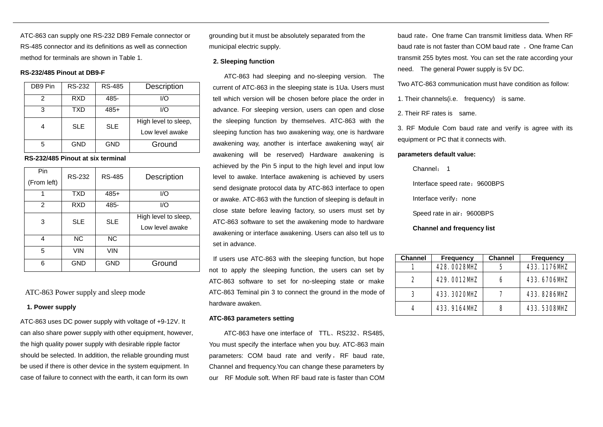ATC-863 can supply one RS-232 DB9 Female connector or RS-485 connector and its definitions as well as connection method for terminals are shown in Table 1.

## **RS-232/485 Pinout at DB9-F**

| DB9 Pin | RS-232     | <b>RS-485</b> | Description                             |
|---------|------------|---------------|-----------------------------------------|
| 2       | <b>RXD</b> | 485-          | 1/O                                     |
| 3       | TXD        | $485+$        | 1/O                                     |
|         | <b>SLE</b> | <b>SLE</b>    | High level to sleep,<br>Low level awake |
| 5       | <b>GND</b> | <b>GND</b>    | Ground                                  |

## **RS-232/485 Pinout at six terminal**

| Pin         | RS-232     | <b>RS-485</b> | Description          |  |
|-------------|------------|---------------|----------------------|--|
| (From left) |            |               |                      |  |
| 1           | <b>TXD</b> | $485+$        | I/O                  |  |
| 2           | RXD        | 485-          | I/O                  |  |
| 3           | <b>SLE</b> | <b>SLE</b>    | High level to sleep, |  |
|             |            |               | Low level awake      |  |
| 4           | <b>NC</b>  | <b>NC</b>     |                      |  |
| 5           | VIN        | <b>VIN</b>    |                      |  |
| 6           | GND        | <b>GND</b>    | Ground               |  |

## ATC-863 Power supply and sleep mode

#### **1. Power supply**

ATC-863 uses DC power supply with voltage of +9-12V. It can also share power supply with other equipment, however, the high quality power supply with desirable ripple factor should be selected. In addition, the reliable grounding must be used if there is other device in the system equipment. In case of failure to connect with the earth, it can form its own

grounding but it must be absolutely separated from the municipal electric supply.

## **2. Sleeping function**

ATC-863 had sleeping and no-sleeping version. The current of ATC-863 in the sleeping state is 1Ua. Users must tell which version will be chosen before place the order in advance. For sleeping version, users can open and close the sleeping function by themselves. ATC-863 with the sleeping function has two awakening way, one is hardware awakening way, another is interface awakening way( air awakening will be reserved) Hardware awakening is achieved by the Pin 5 input to the high level and input low level to awake. Interface awakening is achieved by users send designate protocol data by ATC-863 interface to open or awake. ATC-863 with the function of sleeping is default in close state before leaving factory, so users must set by ATC-863 software to set the awakening mode to hardware awakening or interface awakening. Users can also tell us to set in advance.

If users use ATC-863 with the sleeping function, but hope not to apply the sleeping function, the users can set by ATC-863 software to set for no-sleeping state or make ATC-863 Teminal pin 3 to connect the ground in the mode of hardware awaken.

### **ATC-863 parameters setting**

ATC-863 have one interface of TTL、RS232、RS485, You must specify the interface when you buy. ATC-863 main parameters: COM baud rate and verify, RF baud rate, Channel and frequency.You can change these parameters by our RF Module soft. When RF baud rate is faster than COM baud rate, One frame Can transmit limitless data. When RF baud rate is not faster than COM baud rate, One frame Can transmit 255 bytes most. You can set the rate according your need. The general Power supply is 5V DC.

Two ATC-863 communication must have condition as follow:

1. Their channels(i.e. frequency) is same.

2. Their RF rates is same.

3. RF Module Com baud rate and verify is agree with its equipment or PC that it connects with.

## **parameters default value:**

Channel: 1

Interface speed rate: 9600BPS

Interface verify: none

Speed rate in air: 9600BPS

#### **Channel and frequency list**

| <b>Channel</b> | <b>Frequency</b>   | <b>Channel</b> | <b>Frequency</b>   |
|----------------|--------------------|----------------|--------------------|
|                | <b>428 CD2BVTZ</b> | 5              | 433 1176NPZ        |
| 2              | 429 CO12NPZ        | 6              | 433 <b>670ENE</b>  |
| З              | <b>433 3020 NE</b> |                | <b>433 8286NPZ</b> |
| 4              | 433 916 <b>AVP</b> | 8              | <b>433 5336MZ</b>  |